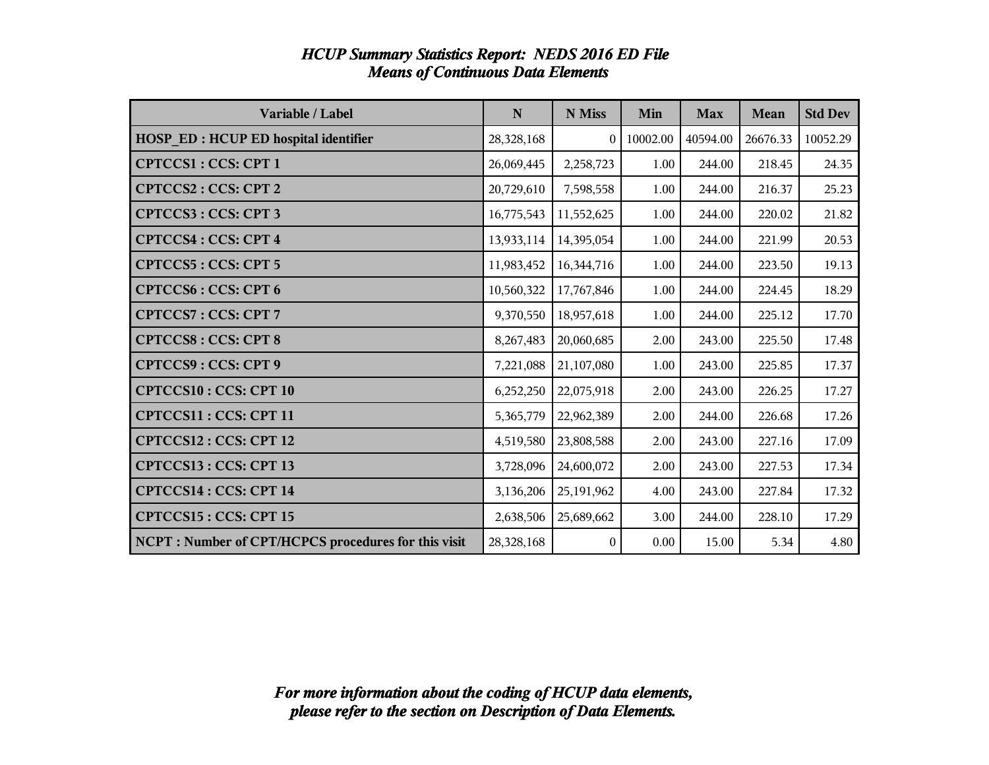| Variable / Label                                     | $\mathbf N$ | N Miss         | Min      | <b>Max</b> | <b>Mean</b> | <b>Std Dev</b> |
|------------------------------------------------------|-------------|----------------|----------|------------|-------------|----------------|
| <b>HOSP_ED: HCUP ED hospital identifier</b>          | 28,328,168  | $\theta$       | 10002.00 | 40594.00   | 26676.33    | 10052.29       |
| <b>CPTCCS1: CCS: CPT 1</b>                           | 26,069,445  | 2,258,723      | 1.00     | 244.00     | 218.45      | 24.35          |
| <b>CPTCCS2: CCS: CPT 2</b>                           | 20,729,610  | 7,598,558      | 1.00     | 244.00     | 216.37      | 25.23          |
| <b>CPTCCS3: CCS: CPT 3</b>                           | 16,775,543  | 11,552,625     | 1.00     | 244.00     | 220.02      | 21.82          |
| <b>CPTCCS4: CCS: CPT 4</b>                           | 13,933,114  | 14,395,054     | 1.00     | 244.00     | 221.99      | 20.53          |
| <b>CPTCCS5: CCS: CPT 5</b>                           | 11,983,452  | 16,344,716     | 1.00     | 244.00     | 223.50      | 19.13          |
| <b>CPTCCS6: CCS: CPT 6</b>                           | 10,560,322  | 17,767,846     | 1.00     | 244.00     | 224.45      | 18.29          |
| <b>CPTCCS7: CCS: CPT 7</b>                           | 9,370,550   | 18,957,618     | 1.00     | 244.00     | 225.12      | 17.70          |
| <b>CPTCCS8: CCS: CPT 8</b>                           | 8,267,483   | 20,060,685     | 2.00     | 243.00     | 225.50      | 17.48          |
| <b>CPTCCS9: CCS: CPT 9</b>                           | 7,221,088   | 21,107,080     | 1.00     | 243.00     | 225.85      | 17.37          |
| <b>CPTCCS10: CCS: CPT 10</b>                         | 6,252,250   | 22,075,918     | 2.00     | 243.00     | 226.25      | 17.27          |
| CPTCCS11 : CCS: CPT 11                               | 5,365,779   | 22,962,389     | 2.00     | 244.00     | 226.68      | 17.26          |
| CPTCCS12: CCS: CPT 12                                | 4,519,580   | 23,808,588     | 2.00     | 243.00     | 227.16      | 17.09          |
| CPTCCS13: CCS: CPT 13                                | 3,728,096   | 24,600,072     | 2.00     | 243.00     | 227.53      | 17.34          |
| <b>CPTCCS14: CCS: CPT 14</b>                         | 3,136,206   | 25,191,962     | 4.00     | 243.00     | 227.84      | 17.32          |
| <b>CPTCCS15: CCS: CPT 15</b>                         | 2,638,506   | 25,689,662     | 3.00     | 244.00     | 228.10      | 17.29          |
| NCPT : Number of CPT/HCPCS procedures for this visit | 28,328,168  | $\overline{0}$ | 0.00     | 15.00      | 5.34        | 4.80           |

### *HCUP Summary Statistics Report: NEDS 2016 ED File Means of Continuous Data Elements*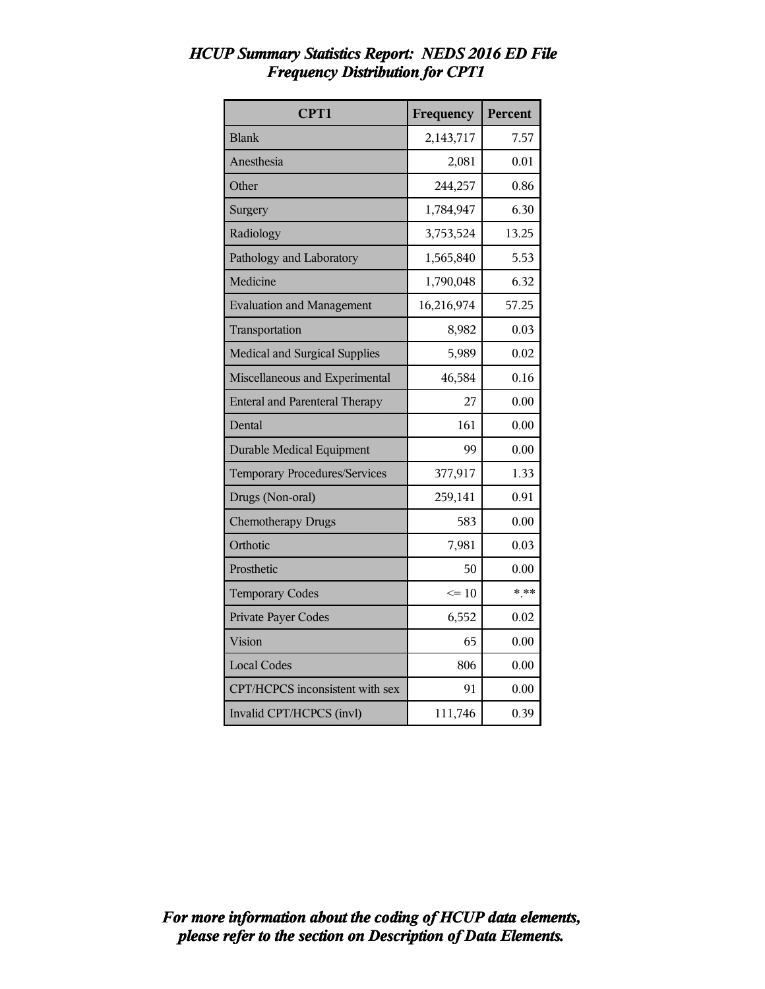| CPT1                                  | Frequency  | Percent |
|---------------------------------------|------------|---------|
| <b>Blank</b>                          | 2,143,717  | 7.57    |
| Anesthesia                            | 2,081      | 0.01    |
| Other                                 | 244,257    | 0.86    |
| Surgery                               | 1,784,947  | 6.30    |
| Radiology                             | 3,753,524  | 13.25   |
| Pathology and Laboratory              | 1,565,840  | 5.53    |
| Medicine                              | 1,790,048  | 6.32    |
| <b>Evaluation and Management</b>      | 16,216,974 | 57.25   |
| Transportation                        | 8,982      | 0.03    |
| <b>Medical and Surgical Supplies</b>  | 5,989      | 0.02    |
| Miscellaneous and Experimental        | 46,584     | 0.16    |
| <b>Enteral and Parenteral Therapy</b> | 27         | 0.00    |
| Dental                                | 161        | 0.00    |
| <b>Durable Medical Equipment</b>      | 99         | 0.00    |
| Temporary Procedures/Services         | 377,917    | 1.33    |
| Drugs (Non-oral)                      | 259,141    | 0.91    |
| <b>Chemotherapy Drugs</b>             | 583        | 0.00    |
| Orthotic                              | 7,981      | 0.03    |
| Prosthetic                            | 50         | 0.00    |
| <b>Temporary Codes</b>                | $\leq 10$  | $* * *$ |
| Private Payer Codes                   | 6,552      | 0.02    |
| Vision                                | 65         | 0.00    |
| <b>Local Codes</b>                    | 806        | 0.00    |
| CPT/HCPCS inconsistent with sex       | 91         | 0.00    |
| Invalid CPT/HCPCS (invl)              | 111,746    | 0.39    |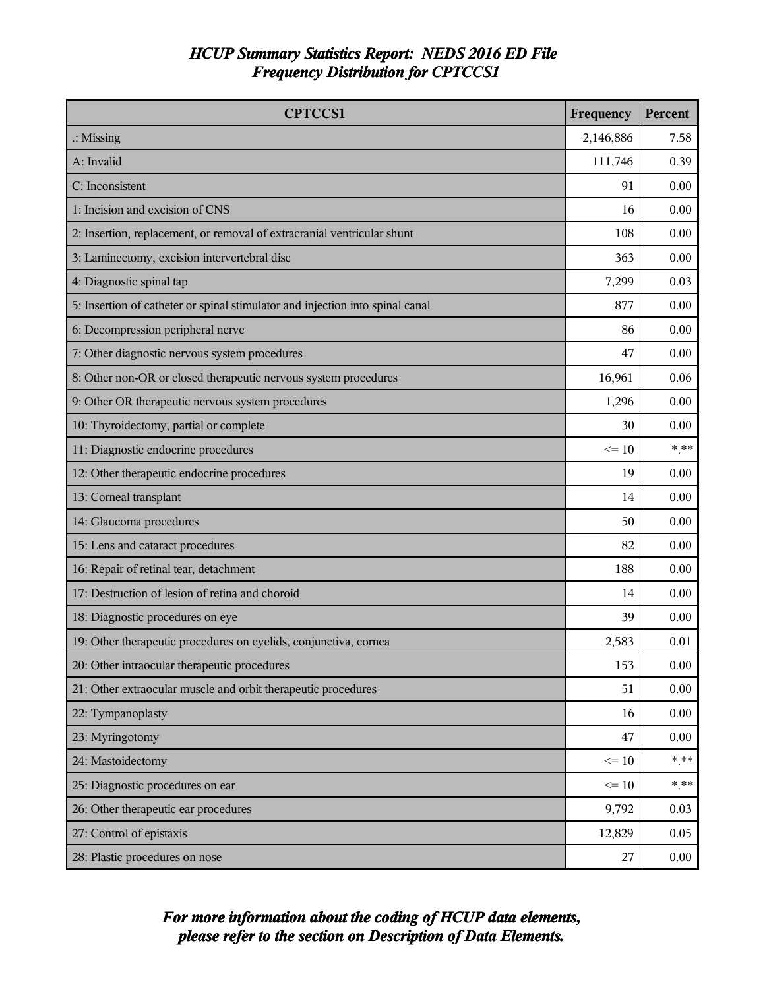| <b>CPTCCS1</b>                                                                | Frequency | Percent |
|-------------------------------------------------------------------------------|-----------|---------|
| $\therefore$ Missing                                                          | 2,146,886 | 7.58    |
| A: Invalid                                                                    | 111,746   | 0.39    |
| C: Inconsistent                                                               | 91        | 0.00    |
| 1: Incision and excision of CNS                                               | 16        | 0.00    |
| 2: Insertion, replacement, or removal of extracranial ventricular shunt       | 108       | 0.00    |
| 3: Laminectomy, excision intervertebral disc                                  | 363       | 0.00    |
| 4: Diagnostic spinal tap                                                      | 7,299     | 0.03    |
| 5: Insertion of catheter or spinal stimulator and injection into spinal canal | 877       | 0.00    |
| 6: Decompression peripheral nerve                                             | 86        | 0.00    |
| 7: Other diagnostic nervous system procedures                                 | 47        | 0.00    |
| 8: Other non-OR or closed therapeutic nervous system procedures               | 16,961    | 0.06    |
| 9: Other OR therapeutic nervous system procedures                             | 1,296     | 0.00    |
| 10: Thyroidectomy, partial or complete                                        | 30        | 0.00    |
| 11: Diagnostic endocrine procedures                                           | $\leq 10$ | $*$ **  |
| 12: Other therapeutic endocrine procedures                                    |           | 0.00    |
| 13: Corneal transplant                                                        |           | 0.00    |
| 14: Glaucoma procedures                                                       | 50        | 0.00    |
| 15: Lens and cataract procedures                                              | 82        | 0.00    |
| 16: Repair of retinal tear, detachment                                        |           | 0.00    |
| 17: Destruction of lesion of retina and choroid                               | 14        | 0.00    |
| 18: Diagnostic procedures on eye                                              | 39        | 0.00    |
| 19: Other therapeutic procedures on eyelids, conjunctiva, cornea              | 2,583     | 0.01    |
| 20: Other intraocular therapeutic procedures                                  | 153       | 0.00    |
| 21: Other extraocular muscle and orbit therapeutic procedures                 | 51        | 0.00    |
| 22: Tympanoplasty                                                             | 16        | 0.00    |
| 23: Myringotomy                                                               | 47        | 0.00    |
| 24: Mastoidectomy                                                             | $\leq 10$ | $***$   |
| 25: Diagnostic procedures on ear                                              | $\leq 10$ | $***$   |
| 26: Other therapeutic ear procedures                                          | 9,792     | 0.03    |
| 27: Control of epistaxis                                                      | 12,829    | 0.05    |
| 28: Plastic procedures on nose                                                | 27        | 0.00    |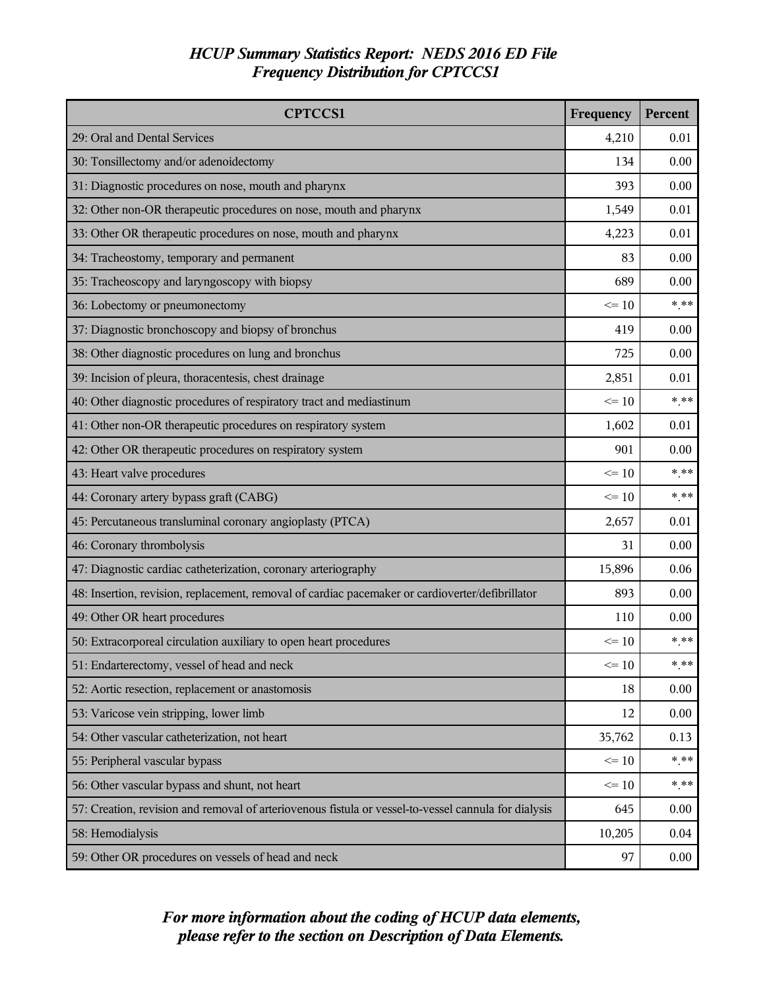| <b>CPTCCS1</b>                                                                                       | Frequency | Percent |
|------------------------------------------------------------------------------------------------------|-----------|---------|
| 29: Oral and Dental Services                                                                         | 4,210     | 0.01    |
| 30: Tonsillectomy and/or adenoidectomy                                                               | 134       | 0.00    |
| 31: Diagnostic procedures on nose, mouth and pharynx                                                 | 393       | 0.00    |
| 32: Other non-OR therapeutic procedures on nose, mouth and pharynx                                   | 1,549     | 0.01    |
| 33: Other OR therapeutic procedures on nose, mouth and pharynx                                       | 4,223     | 0.01    |
| 34: Tracheostomy, temporary and permanent                                                            | 83        | 0.00    |
| 35: Tracheoscopy and laryngoscopy with biopsy                                                        | 689       | 0.00    |
| 36: Lobectomy or pneumonectomy                                                                       | $\leq 10$ | $***$   |
| 37: Diagnostic bronchoscopy and biopsy of bronchus                                                   | 419       | 0.00    |
| 38: Other diagnostic procedures on lung and bronchus                                                 | 725       | 0.00    |
| 39: Incision of pleura, thoracentesis, chest drainage                                                | 2,851     | 0.01    |
| 40: Other diagnostic procedures of respiratory tract and mediastinum                                 | $\leq 10$ | $* * *$ |
| 41: Other non-OR therapeutic procedures on respiratory system                                        | 1,602     | 0.01    |
| 42: Other OR therapeutic procedures on respiratory system                                            | 901       | 0.00    |
| 43: Heart valve procedures                                                                           | $\leq 10$ | $*$ **  |
| 44: Coronary artery bypass graft (CABG)                                                              | $\leq 10$ | $*$ **  |
| 45: Percutaneous transluminal coronary angioplasty (PTCA)                                            | 2,657     | 0.01    |
| 46: Coronary thrombolysis                                                                            | 31        | 0.00    |
| 47: Diagnostic cardiac catheterization, coronary arteriography                                       | 15,896    | 0.06    |
| 48: Insertion, revision, replacement, removal of cardiac pacemaker or cardioverter/defibrillator     | 893       | 0.00    |
| 49: Other OR heart procedures                                                                        | 110       | 0.00    |
| 50: Extracorporeal circulation auxiliary to open heart procedures                                    | $\leq 10$ | $***$   |
| 51: Endarterectomy, vessel of head and neck                                                          | $\leq 10$ | * **    |
| 52: Aortic resection, replacement or anastomosis                                                     | 18        | 0.00    |
| 53: Varicose vein stripping, lower limb                                                              | 12        | 0.00    |
| 54: Other vascular catheterization, not heart                                                        | 35,762    | 0.13    |
| 55: Peripheral vascular bypass                                                                       | $\leq 10$ | $***$   |
| 56: Other vascular bypass and shunt, not heart                                                       | $\leq 10$ | * **    |
| 57: Creation, revision and removal of arteriovenous fistula or vessel-to-vessel cannula for dialysis | 645       | 0.00    |
| 58: Hemodialysis                                                                                     | 10,205    | 0.04    |
| 59: Other OR procedures on vessels of head and neck                                                  | 97        | 0.00    |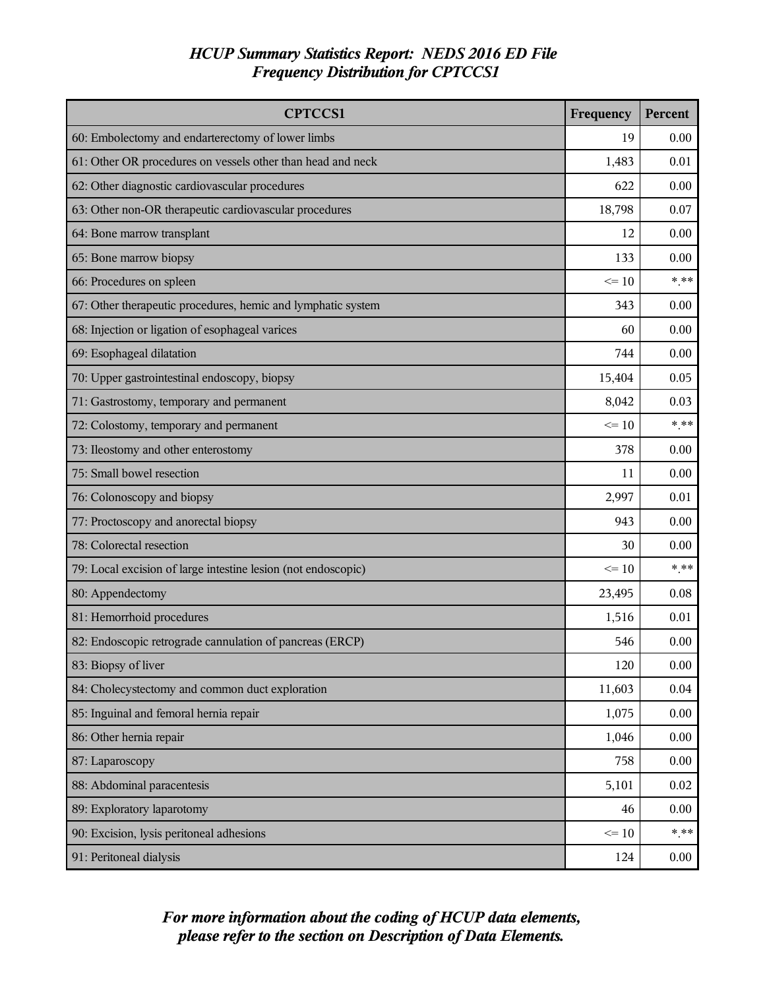| <b>CPTCCS1</b>                                                | Frequency | Percent |
|---------------------------------------------------------------|-----------|---------|
| 60: Embolectomy and endarterectomy of lower limbs             |           | 0.00    |
| 61: Other OR procedures on vessels other than head and neck   | 1,483     | 0.01    |
| 62: Other diagnostic cardiovascular procedures                | 622       | 0.00    |
| 63: Other non-OR therapeutic cardiovascular procedures        | 18,798    | 0.07    |
| 64: Bone marrow transplant                                    | 12        | 0.00    |
| 65: Bone marrow biopsy                                        | 133       | 0.00    |
| 66: Procedures on spleen                                      | $\leq$ 10 | $***$   |
| 67: Other therapeutic procedures, hemic and lymphatic system  | 343       | 0.00    |
| 68: Injection or ligation of esophageal varices               | 60        | 0.00    |
| 69: Esophageal dilatation                                     | 744       | 0.00    |
| 70: Upper gastrointestinal endoscopy, biopsy                  | 15,404    | 0.05    |
| 71: Gastrostomy, temporary and permanent                      | 8,042     | 0.03    |
| 72: Colostomy, temporary and permanent                        | $\leq 10$ | $*$ **  |
| 73: Ileostomy and other enterostomy                           |           | 0.00    |
| 75: Small bowel resection                                     |           | 0.00    |
| 76: Colonoscopy and biopsy                                    |           | 0.01    |
| 77: Proctoscopy and anorectal biopsy                          |           | 0.00    |
| 78: Colorectal resection                                      |           | 0.00    |
| 79: Local excision of large intestine lesion (not endoscopic) |           | $*$ **  |
| 80: Appendectomy                                              | 23,495    | 0.08    |
| 81: Hemorrhoid procedures                                     | 1,516     | 0.01    |
| 82: Endoscopic retrograde cannulation of pancreas (ERCP)      | 546       | 0.00    |
| 83: Biopsy of liver                                           | 120       | 0.00    |
| 84: Cholecystectomy and common duct exploration               | 11,603    | 0.04    |
| 85: Inguinal and femoral hernia repair                        | 1,075     | 0.00    |
| 86: Other hernia repair                                       | 1,046     | 0.00    |
| 87: Laparoscopy                                               |           | 0.00    |
| 88: Abdominal paracentesis                                    |           | 0.02    |
| 89: Exploratory laparotomy                                    |           | 0.00    |
| 90: Excision, lysis peritoneal adhesions                      |           | $*$ **  |
| 91: Peritoneal dialysis                                       | 124       | 0.00    |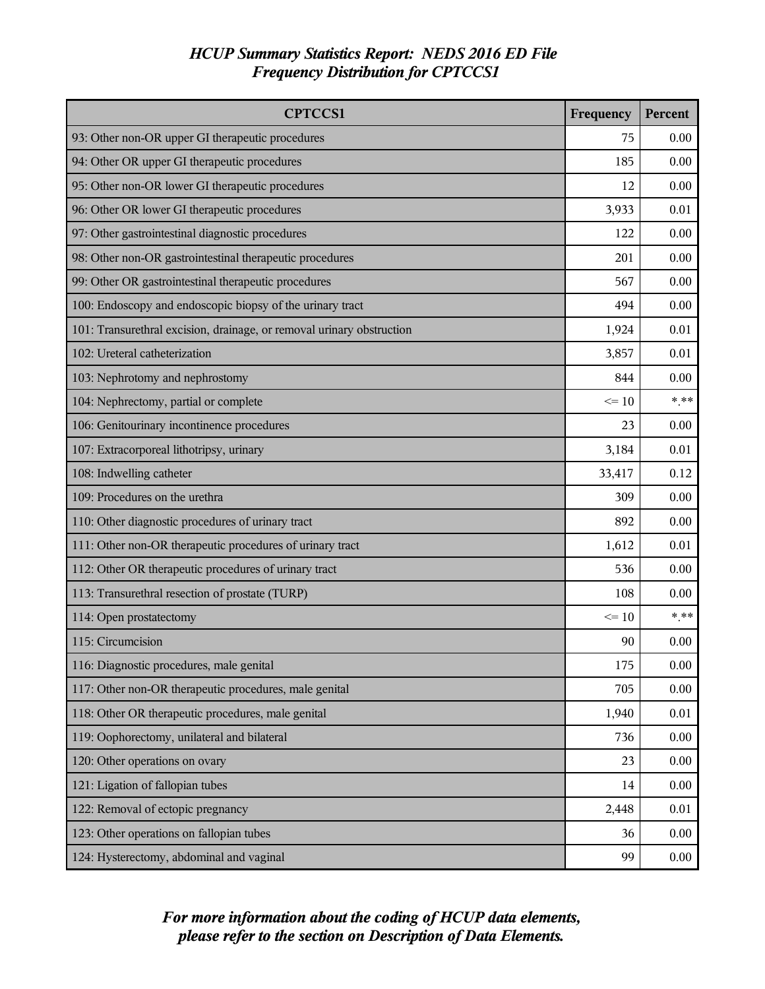| <b>CPTCCS1</b>                                                        | Frequency | Percent |
|-----------------------------------------------------------------------|-----------|---------|
| 93: Other non-OR upper GI therapeutic procedures                      |           | 0.00    |
| 94: Other OR upper GI therapeutic procedures                          | 185       | 0.00    |
| 95: Other non-OR lower GI therapeutic procedures                      | 12        | 0.00    |
| 96: Other OR lower GI therapeutic procedures                          | 3,933     | 0.01    |
| 97: Other gastrointestinal diagnostic procedures                      | 122       | 0.00    |
| 98: Other non-OR gastrointestinal therapeutic procedures              | 201       | 0.00    |
| 99: Other OR gastrointestinal therapeutic procedures                  | 567       | 0.00    |
| 100: Endoscopy and endoscopic biopsy of the urinary tract             | 494       | 0.00    |
| 101: Transurethral excision, drainage, or removal urinary obstruction | 1,924     | 0.01    |
| 102: Ureteral catheterization                                         | 3,857     | 0.01    |
| 103: Nephrotomy and nephrostomy                                       | 844       | 0.00    |
| 104: Nephrectomy, partial or complete                                 | $\leq 10$ | $*$ **  |
| 106: Genitourinary incontinence procedures                            | 23        | 0.00    |
| 107: Extracorporeal lithotripsy, urinary                              | 3,184     | 0.01    |
| 108: Indwelling catheter                                              |           | 0.12    |
| 109: Procedures on the urethra                                        |           | 0.00    |
| 110: Other diagnostic procedures of urinary tract                     |           | 0.00    |
| 111: Other non-OR therapeutic procedures of urinary tract             |           | 0.01    |
| 112: Other OR therapeutic procedures of urinary tract                 |           | 0.00    |
| 113: Transurethral resection of prostate (TURP)                       |           | 0.00    |
| 114: Open prostatectomy                                               | $\leq 10$ | $***$   |
| 115: Circumcision                                                     | 90        | 0.00    |
| 116: Diagnostic procedures, male genital                              | 175       | 0.00    |
| 117: Other non-OR therapeutic procedures, male genital                | 705       | 0.00    |
| 118: Other OR therapeutic procedures, male genital                    | 1,940     | 0.01    |
| 119: Oophorectomy, unilateral and bilateral                           |           | 0.00    |
| 120: Other operations on ovary                                        |           | 0.00    |
| 121: Ligation of fallopian tubes                                      |           | 0.00    |
| 122: Removal of ectopic pregnancy                                     |           | 0.01    |
| 123: Other operations on fallopian tubes                              |           | 0.00    |
| 124: Hysterectomy, abdominal and vaginal                              | 99        | 0.00    |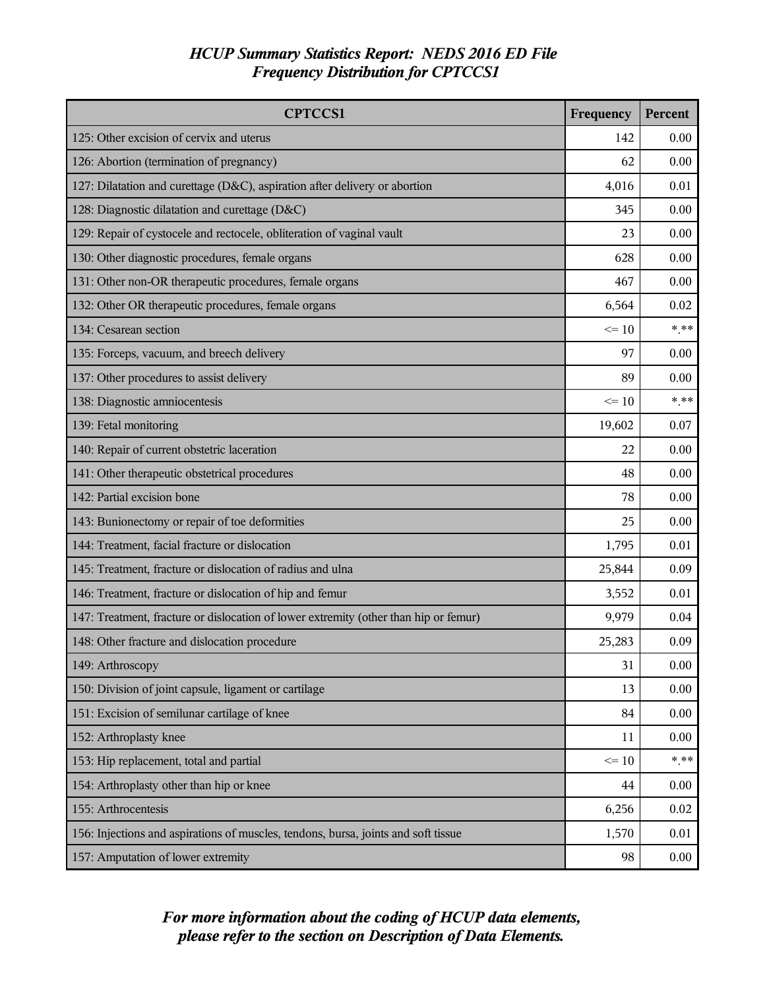| <b>CPTCCS1</b>                                                                       | Frequency | Percent |
|--------------------------------------------------------------------------------------|-----------|---------|
| 125: Other excision of cervix and uterus                                             | 142       | 0.00    |
| 126: Abortion (termination of pregnancy)                                             | 62        | 0.00    |
| 127: Dilatation and curettage (D&C), aspiration after delivery or abortion           | 4,016     | 0.01    |
| 128: Diagnostic dilatation and curettage (D&C)                                       | 345       | 0.00    |
| 129: Repair of cystocele and rectocele, obliteration of vaginal vault                | 23        | 0.00    |
| 130: Other diagnostic procedures, female organs                                      | 628       | 0.00    |
| 131: Other non-OR therapeutic procedures, female organs                              | 467       | 0.00    |
| 132: Other OR therapeutic procedures, female organs                                  | 6,564     | 0.02    |
| 134: Cesarean section                                                                | $\leq 10$ | $*$ **  |
| 135: Forceps, vacuum, and breech delivery                                            | 97        | 0.00    |
| 137: Other procedures to assist delivery                                             | 89        | 0.00    |
| 138: Diagnostic amniocentesis                                                        | $\leq 10$ | $***$   |
| 139: Fetal monitoring                                                                | 19,602    | 0.07    |
| 140: Repair of current obstetric laceration                                          | 22        | 0.00    |
| 141: Other therapeutic obstetrical procedures                                        |           | 0.00    |
| 142: Partial excision bone                                                           |           | 0.00    |
| 143: Bunionectomy or repair of toe deformities                                       | 25        | 0.00    |
| 144: Treatment, facial fracture or dislocation                                       | 1,795     | 0.01    |
| 145: Treatment, fracture or dislocation of radius and ulna                           |           | 0.09    |
| 146: Treatment, fracture or dislocation of hip and femur                             |           | 0.01    |
| 147: Treatment, fracture or dislocation of lower extremity (other than hip or femur) | 9,979     | 0.04    |
| 148: Other fracture and dislocation procedure                                        | 25,283    | 0.09    |
| 149: Arthroscopy                                                                     | 31        | 0.00    |
| 150: Division of joint capsule, ligament or cartilage                                | 13        | 0.00    |
| 151: Excision of semilunar cartilage of knee                                         | 84        | 0.00    |
| 152: Arthroplasty knee                                                               | 11        | 0.00    |
| 153: Hip replacement, total and partial                                              | $\leq 10$ | $***$   |
| 154: Arthroplasty other than hip or knee                                             | 44        | 0.00    |
| 155: Arthrocentesis                                                                  | 6,256     | 0.02    |
| 156: Injections and aspirations of muscles, tendons, bursa, joints and soft tissue   | 1,570     | 0.01    |
| 157: Amputation of lower extremity                                                   | 98        | 0.00    |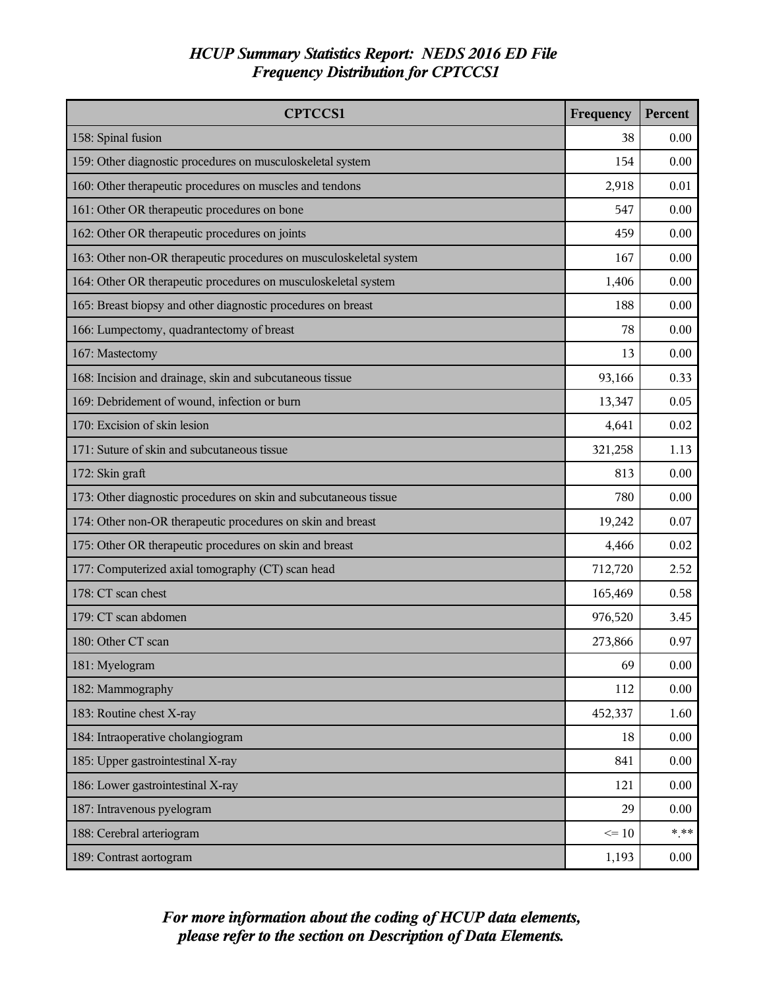| <b>CPTCCS1</b>                                                     | Frequency | Percent |
|--------------------------------------------------------------------|-----------|---------|
| 158: Spinal fusion                                                 | 38        | 0.00    |
| 159: Other diagnostic procedures on musculoskeletal system         | 154       | 0.00    |
| 160: Other therapeutic procedures on muscles and tendons           | 2,918     | 0.01    |
| 161: Other OR therapeutic procedures on bone                       | 547       | 0.00    |
| 162: Other OR therapeutic procedures on joints                     | 459       | 0.00    |
| 163: Other non-OR therapeutic procedures on musculoskeletal system | 167       | 0.00    |
| 164: Other OR therapeutic procedures on musculoskeletal system     | 1,406     | 0.00    |
| 165: Breast biopsy and other diagnostic procedures on breast       | 188       | 0.00    |
| 166: Lumpectomy, quadrantectomy of breast                          | 78        | 0.00    |
| 167: Mastectomy                                                    | 13        | 0.00    |
| 168: Incision and drainage, skin and subcutaneous tissue           | 93,166    | 0.33    |
| 169: Debridement of wound, infection or burn                       | 13,347    | 0.05    |
| 170: Excision of skin lesion                                       | 4,641     | 0.02    |
| 171: Suture of skin and subcutaneous tissue                        | 321,258   | 1.13    |
| 172: Skin graft                                                    |           | 0.00    |
| 173: Other diagnostic procedures on skin and subcutaneous tissue   |           | 0.00    |
| 174: Other non-OR therapeutic procedures on skin and breast        |           | 0.07    |
| 175: Other OR therapeutic procedures on skin and breast            |           | 0.02    |
| 177: Computerized axial tomography (CT) scan head                  |           | 2.52    |
| 178: CT scan chest                                                 | 165,469   | 0.58    |
| 179: CT scan abdomen                                               | 976,520   | 3.45    |
| 180: Other CT scan                                                 | 273,866   | 0.97    |
| 181: Myelogram                                                     | 69        | 0.00    |
| 182: Mammography                                                   | 112       | 0.00    |
| 183: Routine chest X-ray                                           | 452,337   | 1.60    |
| 184: Intraoperative cholangiogram                                  | 18        | 0.00    |
| 185: Upper gastrointestinal X-ray                                  |           | 0.00    |
| 186: Lower gastrointestinal X-ray                                  |           | 0.00    |
| 187: Intravenous pyelogram                                         | 29        | 0.00    |
| 188: Cerebral arteriogram                                          | $\leq 10$ | $***$   |
| 189: Contrast aortogram                                            | 1,193     | 0.00    |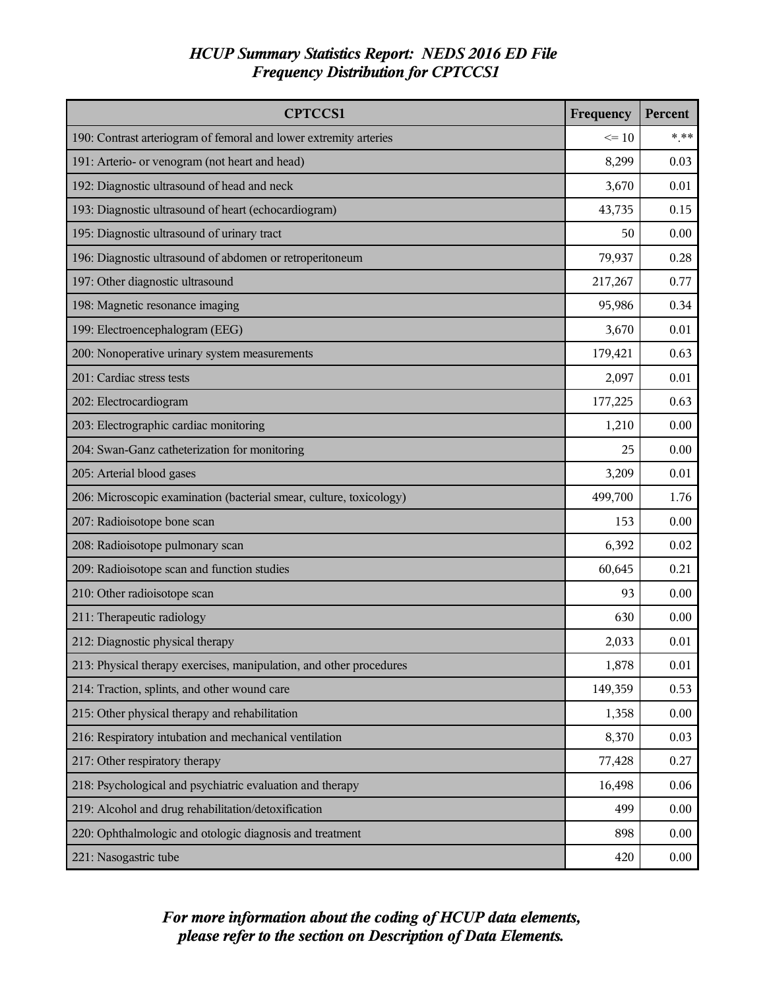| <b>CPTCCS1</b>                                                      | Frequency | Percent  |
|---------------------------------------------------------------------|-----------|----------|
| 190: Contrast arteriogram of femoral and lower extremity arteries   |           | $***$    |
| 191: Arterio- or venogram (not heart and head)                      | 8,299     | 0.03     |
| 192: Diagnostic ultrasound of head and neck                         | 3,670     | 0.01     |
| 193: Diagnostic ultrasound of heart (echocardiogram)                | 43,735    | 0.15     |
| 195: Diagnostic ultrasound of urinary tract                         | 50        | 0.00     |
| 196: Diagnostic ultrasound of abdomen or retroperitoneum            | 79,937    | 0.28     |
| 197: Other diagnostic ultrasound                                    | 217,267   | 0.77     |
| 198: Magnetic resonance imaging                                     | 95,986    | 0.34     |
| 199: Electroencephalogram (EEG)                                     | 3,670     | 0.01     |
| 200: Nonoperative urinary system measurements                       | 179,421   | 0.63     |
| 201: Cardiac stress tests                                           | 2,097     | 0.01     |
| 202: Electrocardiogram                                              | 177,225   | 0.63     |
| 203: Electrographic cardiac monitoring                              | 1,210     | 0.00     |
| 204: Swan-Ganz catheterization for monitoring                       | 25        | 0.00     |
| 205: Arterial blood gases                                           |           | 0.01     |
| 206: Microscopic examination (bacterial smear, culture, toxicology) |           | 1.76     |
| 207: Radioisotope bone scan                                         |           | 0.00     |
| 208: Radioisotope pulmonary scan                                    |           | 0.02     |
| 209: Radioisotope scan and function studies                         |           | 0.21     |
| 210: Other radioisotope scan                                        | 93        | 0.00     |
| 211: Therapeutic radiology                                          | 630       | 0.00     |
| 212: Diagnostic physical therapy                                    | 2,033     | 0.01     |
| 213: Physical therapy exercises, manipulation, and other procedures | 1,878     | $0.01\,$ |
| 214: Traction, splints, and other wound care                        | 149,359   | 0.53     |
| 215: Other physical therapy and rehabilitation                      | 1,358     | 0.00     |
| 216: Respiratory intubation and mechanical ventilation              |           | 0.03     |
| 217: Other respiratory therapy                                      |           | 0.27     |
| 218: Psychological and psychiatric evaluation and therapy           |           | 0.06     |
| 219: Alcohol and drug rehabilitation/detoxification                 |           | 0.00     |
| 220: Ophthalmologic and otologic diagnosis and treatment            |           | 0.00     |
| 221: Nasogastric tube                                               | 420       | 0.00     |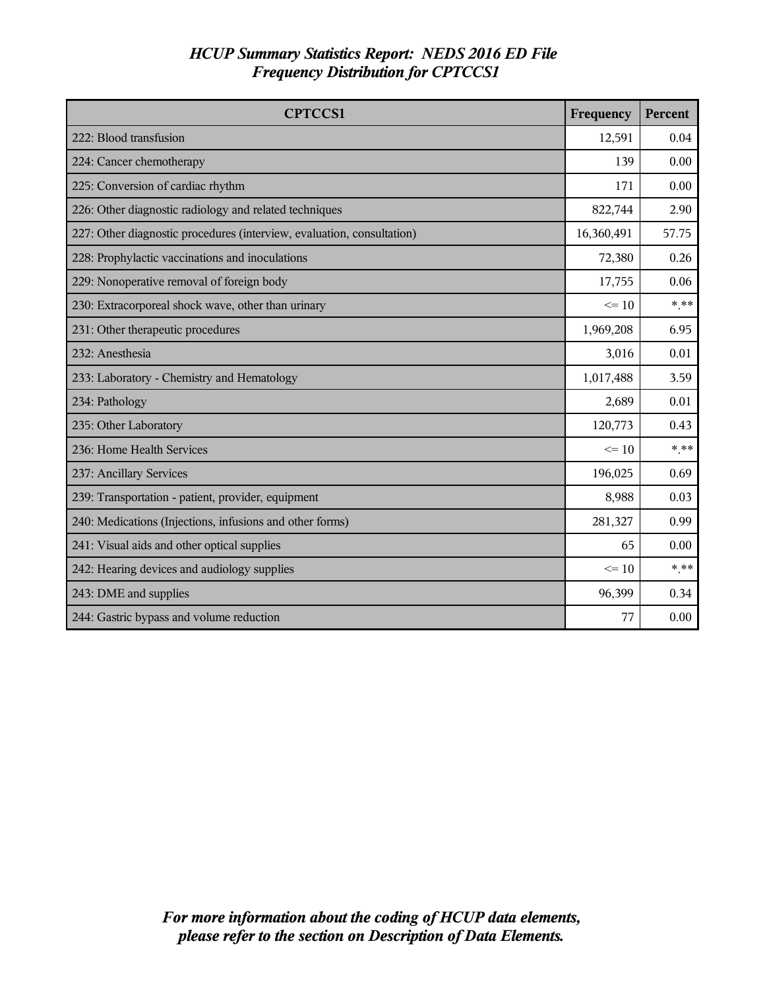| <b>CPTCCS1</b>                                                         | Frequency  | Percent |
|------------------------------------------------------------------------|------------|---------|
| 222: Blood transfusion                                                 | 12,591     | 0.04    |
| 224: Cancer chemotherapy                                               | 139        | 0.00    |
| 225: Conversion of cardiac rhythm                                      | 171        | 0.00    |
| 226: Other diagnostic radiology and related techniques                 | 822,744    | 2.90    |
| 227: Other diagnostic procedures (interview, evaluation, consultation) | 16,360,491 | 57.75   |
| 228: Prophylactic vaccinations and inoculations                        | 72,380     | 0.26    |
| 229: Nonoperative removal of foreign body                              | 17,755     | 0.06    |
| 230: Extracorporeal shock wave, other than urinary                     | $\leq$ 10  | $*$ **  |
| 231: Other therapeutic procedures                                      | 1,969,208  | 6.95    |
| 232: Anesthesia                                                        | 3,016      | 0.01    |
| 233: Laboratory - Chemistry and Hematology                             |            | 3.59    |
| 234: Pathology                                                         |            | 0.01    |
| 235: Other Laboratory                                                  | 120,773    | 0.43    |
| 236: Home Health Services                                              | $\leq$ 10  | * **    |
| 237: Ancillary Services                                                | 196,025    | 0.69    |
| 239: Transportation - patient, provider, equipment                     | 8,988      | 0.03    |
| 240: Medications (Injections, infusions and other forms)               | 281,327    | 0.99    |
| 241: Visual aids and other optical supplies                            |            | 0.00    |
| 242: Hearing devices and audiology supplies                            |            | * **    |
| 243: DME and supplies                                                  |            | 0.34    |
| 244: Gastric bypass and volume reduction                               | 77         | 0.00    |